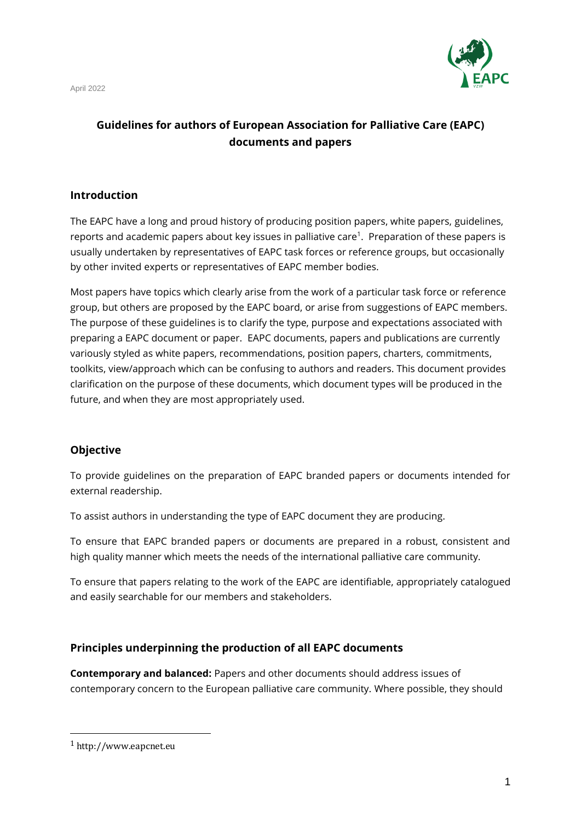

# **Guidelines for authors of European Association for Palliative Care (EAPC) documents and papers**

### **Introduction**

The EAPC have a long and proud history of producing position papers, white papers, guidelines, reports and academic papers about key issues in palliative care<sup>1</sup>. Preparation of these papers is usually undertaken by representatives of EAPC task forces or reference groups, but occasionally by other invited experts or representatives of EAPC member bodies.

Most papers have topics which clearly arise from the work of a particular task force or reference group, but others are proposed by the EAPC board, or arise from suggestions of EAPC members. The purpose of these guidelines is to clarify the type, purpose and expectations associated with preparing a EAPC document or paper. EAPC documents, papers and publications are currently variously styled as white papers, recommendations, position papers, charters, commitments, toolkits, view/approach which can be confusing to authors and readers. This document provides clarification on the purpose of these documents, which document types will be produced in the future, and when they are most appropriately used.

### **Objective**

To provide guidelines on the preparation of EAPC branded papers or documents intended for external readership.

To assist authors in understanding the type of EAPC document they are producing.

To ensure that EAPC branded papers or documents are prepared in a robust, consistent and high quality manner which meets the needs of the international palliative care community.

To ensure that papers relating to the work of the EAPC are identifiable, appropriately catalogued and easily searchable for our members and stakeholders.

### **Principles underpinning the production of all EAPC documents**

**Contemporary and balanced:** Papers and other documents should address issues of contemporary concern to the European palliative care community. Where possible, they should

<sup>1</sup> http://www.eapcnet.eu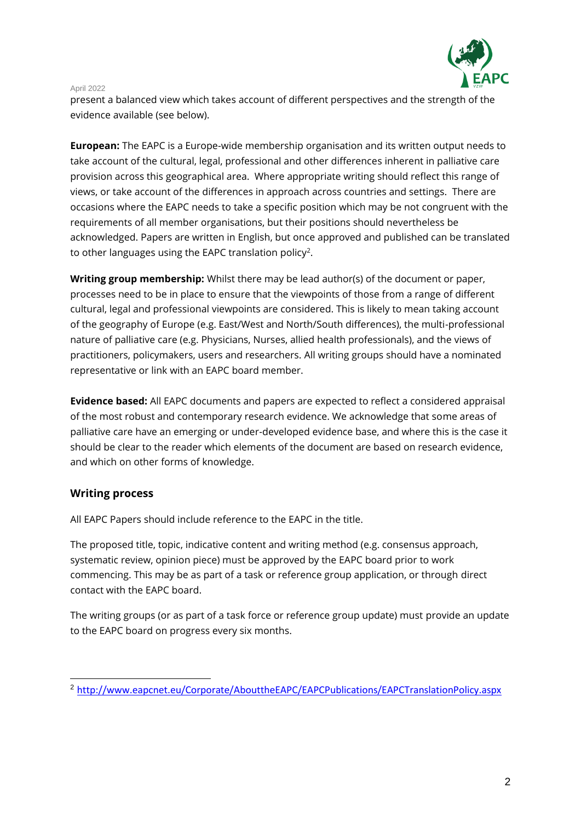

present a balanced view which takes account of different perspectives and the strength of the evidence available (see below).

**European:** The EAPC is a Europe-wide membership organisation and its written output needs to take account of the cultural, legal, professional and other differences inherent in palliative care provision across this geographical area. Where appropriate writing should reflect this range of views, or take account of the differences in approach across countries and settings. There are occasions where the EAPC needs to take a specific position which may be not congruent with the requirements of all member organisations, but their positions should nevertheless be acknowledged. Papers are written in English, but once approved and published can be translated to other languages using the EAPC translation policy<sup>2</sup>.

**Writing group membership:** Whilst there may be lead author(s) of the document or paper, processes need to be in place to ensure that the viewpoints of those from a range of different cultural, legal and professional viewpoints are considered. This is likely to mean taking account of the geography of Europe (e.g. East/West and North/South differences), the multi-professional nature of palliative care (e.g. Physicians, Nurses, allied health professionals), and the views of practitioners, policymakers, users and researchers. All writing groups should have a nominated representative or link with an EAPC board member.

**Evidence based:** All EAPC documents and papers are expected to reflect a considered appraisal of the most robust and contemporary research evidence. We acknowledge that some areas of palliative care have an emerging or under-developed evidence base, and where this is the case it should be clear to the reader which elements of the document are based on research evidence, and which on other forms of knowledge.

### **Writing process**

All EAPC Papers should include reference to the EAPC in the title.

The proposed title, topic, indicative content and writing method (e.g. consensus approach, systematic review, opinion piece) must be approved by the EAPC board prior to work commencing. This may be as part of a task or reference group application, or through direct contact with the EAPC board.

The writing groups (or as part of a task force or reference group update) must provide an update to the EAPC board on progress every six months.

<sup>2</sup> <http://www.eapcnet.eu/Corporate/AbouttheEAPC/EAPCPublications/EAPCTranslationPolicy.aspx>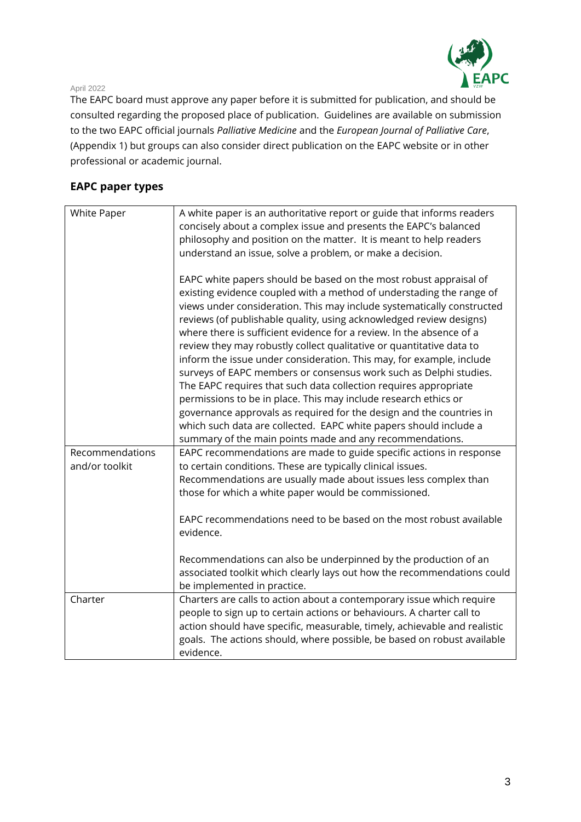

The EAPC board must approve any paper before it is submitted for publication, and should be consulted regarding the proposed place of publication. Guidelines are available on submission to the two EAPC official journals *Palliative Medicine* and the *European Journal of Palliative Care*, (Appendix 1) but groups can also consider direct publication on the EAPC website or in other professional or academic journal.

## **EAPC paper types**

| <b>White Paper</b>                | A white paper is an authoritative report or guide that informs readers<br>concisely about a complex issue and presents the EAPC's balanced<br>philosophy and position on the matter. It is meant to help readers                                                                                                                                                                                                                                                                                                                                                                                                                                                                                                                                                                                                                                                            |
|-----------------------------------|-----------------------------------------------------------------------------------------------------------------------------------------------------------------------------------------------------------------------------------------------------------------------------------------------------------------------------------------------------------------------------------------------------------------------------------------------------------------------------------------------------------------------------------------------------------------------------------------------------------------------------------------------------------------------------------------------------------------------------------------------------------------------------------------------------------------------------------------------------------------------------|
|                                   | understand an issue, solve a problem, or make a decision.                                                                                                                                                                                                                                                                                                                                                                                                                                                                                                                                                                                                                                                                                                                                                                                                                   |
|                                   | EAPC white papers should be based on the most robust appraisal of<br>existing evidence coupled with a method of understading the range of<br>views under consideration. This may include systematically constructed<br>reviews (of publishable quality, using acknowledged review designs)<br>where there is sufficient evidence for a review. In the absence of a<br>review they may robustly collect qualitative or quantitative data to<br>inform the issue under consideration. This may, for example, include<br>surveys of EAPC members or consensus work such as Delphi studies.<br>The EAPC requires that such data collection requires appropriate<br>permissions to be in place. This may include research ethics or<br>governance approvals as required for the design and the countries in<br>which such data are collected. EAPC white papers should include a |
|                                   | summary of the main points made and any recommendations.                                                                                                                                                                                                                                                                                                                                                                                                                                                                                                                                                                                                                                                                                                                                                                                                                    |
| Recommendations<br>and/or toolkit | EAPC recommendations are made to guide specific actions in response<br>to certain conditions. These are typically clinical issues.<br>Recommendations are usually made about issues less complex than<br>those for which a white paper would be commissioned.                                                                                                                                                                                                                                                                                                                                                                                                                                                                                                                                                                                                               |
|                                   | EAPC recommendations need to be based on the most robust available<br>evidence.                                                                                                                                                                                                                                                                                                                                                                                                                                                                                                                                                                                                                                                                                                                                                                                             |
|                                   | Recommendations can also be underpinned by the production of an<br>associated toolkit which clearly lays out how the recommendations could<br>be implemented in practice.                                                                                                                                                                                                                                                                                                                                                                                                                                                                                                                                                                                                                                                                                                   |
| Charter                           | Charters are calls to action about a contemporary issue which require<br>people to sign up to certain actions or behaviours. A charter call to<br>action should have specific, measurable, timely, achievable and realistic<br>goals. The actions should, where possible, be based on robust available<br>evidence.                                                                                                                                                                                                                                                                                                                                                                                                                                                                                                                                                         |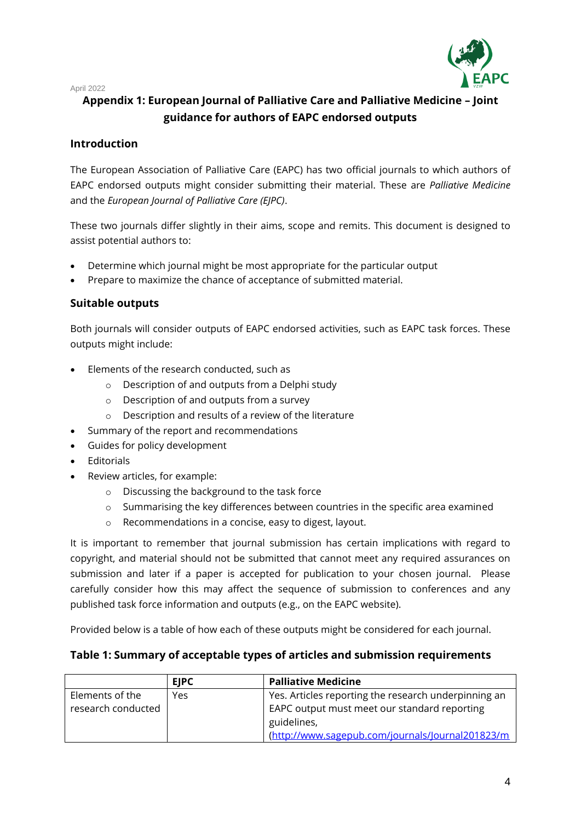

# **Appendix 1: European Journal of Palliative Care and Palliative Medicine – Joint guidance for authors of EAPC endorsed outputs**

### **Introduction**

The European Association of Palliative Care (EAPC) has two official journals to which authors of EAPC endorsed outputs might consider submitting their material. These are *Palliative Medicine* and the *European Journal of Palliative Care (EJPC)*.

These two journals differ slightly in their aims, scope and remits. This document is designed to assist potential authors to:

- Determine which journal might be most appropriate for the particular output
- Prepare to maximize the chance of acceptance of submitted material.

### **Suitable outputs**

Both journals will consider outputs of EAPC endorsed activities, such as EAPC task forces. These outputs might include:

- Elements of the research conducted, such as
	- o Description of and outputs from a Delphi study
	- o Description of and outputs from a survey
	- o Description and results of a review of the literature
- Summary of the report and recommendations
- Guides for policy development
- Editorials
- Review articles, for example:
	- o Discussing the background to the task force
	- $\circ$  Summarising the key differences between countries in the specific area examined
	- o Recommendations in a concise, easy to digest, layout.

It is important to remember that journal submission has certain implications with regard to copyright, and material should not be submitted that cannot meet any required assurances on submission and later if a paper is accepted for publication to your chosen journal. Please carefully consider how this may affect the sequence of submission to conferences and any published task force information and outputs (e.g., on the EAPC website).

Provided below is a table of how each of these outputs might be considered for each journal.

### **Table 1: Summary of acceptable types of articles and submission requirements**

|                    | <b>EIPC</b> | <b>Palliative Medicine</b>                           |
|--------------------|-------------|------------------------------------------------------|
| Elements of the    | Yes         | Yes. Articles reporting the research underpinning an |
| research conducted |             | EAPC output must meet our standard reporting         |
|                    |             | guidelines,                                          |
|                    |             | (http://www.sagepub.com/journals/Journal201823/m     |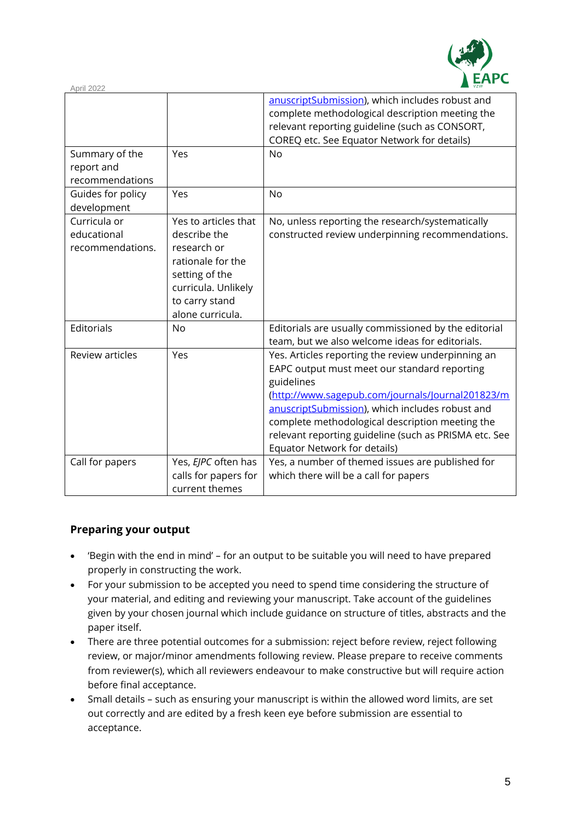

| $\overline{vzw}$<br>April 2022                  |                                                                                                                                                         |                                                                                                                                                                                                                                                                                                                                                                     |  |
|-------------------------------------------------|---------------------------------------------------------------------------------------------------------------------------------------------------------|---------------------------------------------------------------------------------------------------------------------------------------------------------------------------------------------------------------------------------------------------------------------------------------------------------------------------------------------------------------------|--|
|                                                 |                                                                                                                                                         | anuscriptSubmission), which includes robust and<br>complete methodological description meeting the<br>relevant reporting guideline (such as CONSORT,<br>COREQ etc. See Equator Network for details)                                                                                                                                                                 |  |
| Summary of the<br>report and<br>recommendations | Yes                                                                                                                                                     | <b>No</b>                                                                                                                                                                                                                                                                                                                                                           |  |
| Guides for policy<br>development                | Yes                                                                                                                                                     | <b>No</b>                                                                                                                                                                                                                                                                                                                                                           |  |
| Curricula or<br>educational<br>recommendations. | Yes to articles that<br>describe the<br>research or<br>rationale for the<br>setting of the<br>curricula. Unlikely<br>to carry stand<br>alone curricula. | No, unless reporting the research/systematically<br>constructed review underpinning recommendations.                                                                                                                                                                                                                                                                |  |
| Editorials                                      | <b>No</b>                                                                                                                                               | Editorials are usually commissioned by the editorial<br>team, but we also welcome ideas for editorials.                                                                                                                                                                                                                                                             |  |
| <b>Review articles</b>                          | Yes                                                                                                                                                     | Yes. Articles reporting the review underpinning an<br>EAPC output must meet our standard reporting<br>guidelines<br>(http://www.sagepub.com/journals/Journal201823/m<br>anuscriptSubmission), which includes robust and<br>complete methodological description meeting the<br>relevant reporting guideline (such as PRISMA etc. See<br>Equator Network for details) |  |
| Call for papers                                 | Yes, EJPC often has<br>calls for papers for<br>current themes                                                                                           | Yes, a number of themed issues are published for<br>which there will be a call for papers                                                                                                                                                                                                                                                                           |  |

### **Preparing your output**

- 'Begin with the end in mind' for an output to be suitable you will need to have prepared properly in constructing the work.
- For your submission to be accepted you need to spend time considering the structure of your material, and editing and reviewing your manuscript. Take account of the guidelines given by your chosen journal which include guidance on structure of titles, abstracts and the paper itself.
- There are three potential outcomes for a submission: reject before review, reject following review, or major/minor amendments following review. Please prepare to receive comments from reviewer(s), which all reviewers endeavour to make constructive but will require action before final acceptance.
- Small details such as ensuring your manuscript is within the allowed word limits, are set out correctly and are edited by a fresh keen eye before submission are essential to acceptance.